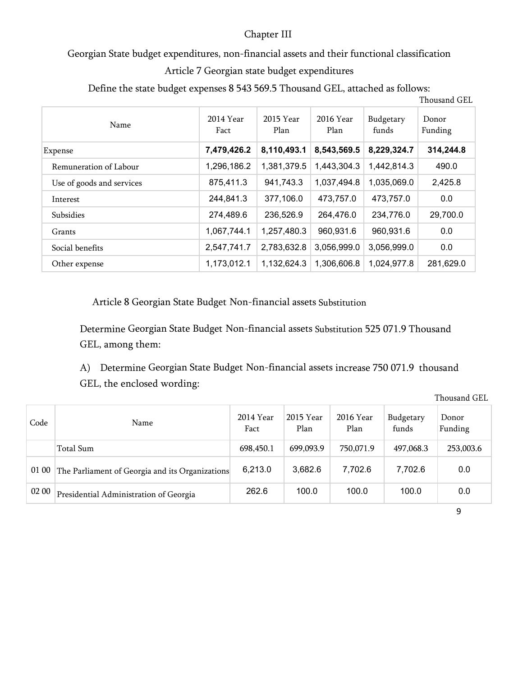## Chapter III

## Georgian State budget expenditures, non-financial assets and their functional classification

## Article 7 Georgian state budget expenditures

Define the state budget expenses 8 543 569.5 Thousand GEL, attached as follows:

| ັ                         |                   |                   |                   |                    | Thousand GEL     |
|---------------------------|-------------------|-------------------|-------------------|--------------------|------------------|
| Name                      | 2014 Year<br>Fact | 2015 Year<br>Plan | 2016 Year<br>Plan | Budgetary<br>funds | Donor<br>Funding |
| Expense                   | 7,479,426.2       | 8,110,493.1       | 8,543,569.5       | 8,229,324.7        | 314,244.8        |
| Remuneration of Labour    | 1,296,186.2       | 1,381,379.5       | 1,443,304.3       | 1,442,814.3        | 490.0            |
| Use of goods and services | 875,411.3         | 941,743.3         | 1,037,494.8       | 1,035,069.0        | 2,425.8          |
| Interest                  | 244,841.3         | 377,106.0         | 473,757.0         | 473,757.0          | 0.0              |
| Subsidies                 | 274,489.6         | 236,526.9         | 264,476.0         | 234,776.0          | 29,700.0         |
| Grants                    | 1,067,744.1       | 1,257,480.3       | 960,931.6         | 960,931.6          | 0.0              |
| Social benefits           | 2,547,741.7       | 2,783,632.8       | 3,056,999.0       | 3,056,999.0        | 0.0              |
| Other expense             | 1,173,012.1       | 1,132,624.3       | 1,306,606.8       | 1,024,977.8        | 281,629.0        |

Article 8 Georgian State Budget Non-financial assets Substitution

Determine Georgian State Budget Non-financial assets Substitution 525 071.9 Thousand GEL, among them:

A) Determine Georgian State Budget Non-financial assets increase 750 071.9 thousand GEL, the enclosed wording:

Thousand GEL

| Code  | Name                                            | 2014 Year<br>Fact | 2015 Year<br>Plan | 2016 Year<br>Plan | Budgetary<br>funds | Donor<br>Funding |
|-------|-------------------------------------------------|-------------------|-------------------|-------------------|--------------------|------------------|
|       | Total Sum                                       | 698,450.1         | 699,093.9         | 750,071.9         | 497,068.3          | 253,003.6        |
| 01 00 | The Parliament of Georgia and its Organizations | 6,213.0           | 3,682.6           | 7,702.6           | 7,702.6            | 0.0              |
| 02 00 | Presidential Administration of Georgia          | 262.6             | 100.0             | 100.0             | 100.0              | 0.0              |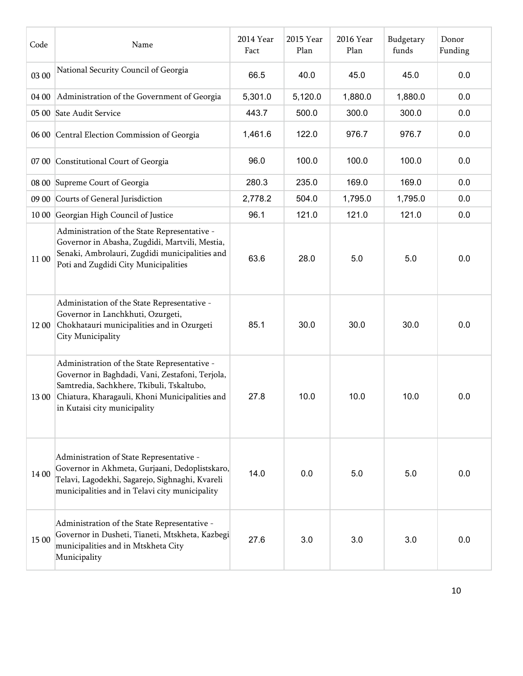| Code  | Name                                                                                                                                                                                                                           | 2014 Year<br>Fact | 2015 Year<br>Plan | 2016 Year<br>Plan | Budgetary<br>funds | Donor<br>Funding |
|-------|--------------------------------------------------------------------------------------------------------------------------------------------------------------------------------------------------------------------------------|-------------------|-------------------|-------------------|--------------------|------------------|
| 03 00 | National Security Council of Georgia                                                                                                                                                                                           | 66.5              | 40.0              | 45.0              | 45.0               | 0.0              |
| 04 00 | Administration of the Government of Georgia                                                                                                                                                                                    | 5,301.0           | 5,120.0           | 1,880.0           | 1,880.0            | 0.0              |
|       | 05 00 Sate Audit Service                                                                                                                                                                                                       | 443.7             | 500.0             | 300.0             | 300.0              | 0.0              |
|       | 06 00 Central Election Commission of Georgia                                                                                                                                                                                   | 1,461.6           | 122.0             | 976.7             | 976.7              | 0.0              |
|       | 07 00 Constitutional Court of Georgia                                                                                                                                                                                          | 96.0              | 100.0             | 100.0             | 100.0              | 0.0              |
|       | 08 00 Supreme Court of Georgia                                                                                                                                                                                                 | 280.3             | 235.0             | 169.0             | 169.0              | 0.0              |
| 09 00 | Courts of General Jurisdiction                                                                                                                                                                                                 | 2,778.2           | 504.0             | 1,795.0           | 1,795.0            | 0.0              |
| 10 00 | Georgian High Council of Justice                                                                                                                                                                                               | 96.1              | 121.0             | 121.0             | 121.0              | 0.0              |
| 11 00 | Administration of the State Representative -<br>Governor in Abasha, Zugdidi, Martvili, Mestia,<br>Senaki, Ambrolauri, Zugdidi municipalities and<br>Poti and Zugdidi City Municipalities                                       | 63.6              | 28.0              | 5.0               | 5.0                | 0.0              |
| 12 00 | Administation of the State Representative -<br>Governor in Lanchkhuti, Ozurgeti,<br>Chokhatauri municipalities and in Ozurgeti<br>City Municipality                                                                            | 85.1              | 30.0              | 30.0              | 30.0               | 0.0              |
| 13 00 | Administration of the State Representative -<br>Governor in Baghdadi, Vani, Zestafoni, Terjola,<br>Samtredia, Sachkhere, Tkibuli, Tskaltubo,<br>Chiatura, Kharagauli, Khoni Municipalities and<br>in Kutaisi city municipality | 27.8              | 10.0              | 10.0              | 10.0               | 0.0              |
| 14 00 | Administration of State Representative -<br>Governor in Akhmeta, Gurjaani, Dedoplistskaro,<br>Telavi, Lagodekhi, Sagarejo, Sighnaghi, Kvareli<br>municipalities and in Telavi city municipality                                | 14.0              | 0.0               | 5.0               | 5.0                | 0.0              |
| 15 00 | Administration of the State Representative -<br>Governor in Dusheti, Tianeti, Mtskheta, Kazbegi<br>municipalities and in Mtskheta City<br>Municipality                                                                         | 27.6              | 3.0               | 3.0               | 3.0                | 0.0              |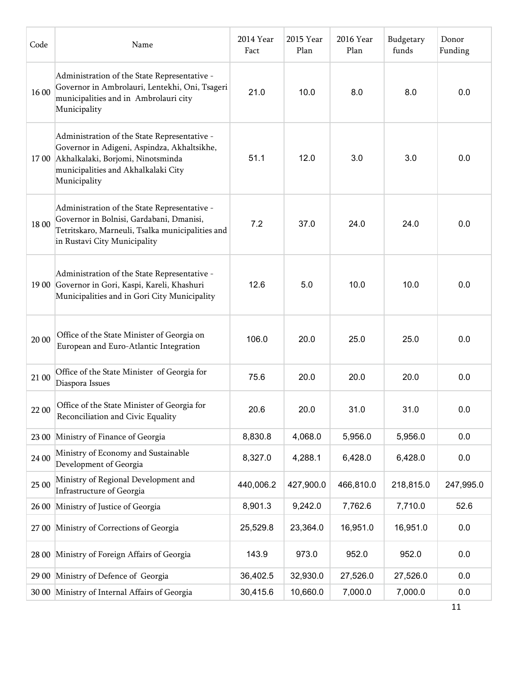| Code  | Name                                                                                                                                                                                          | 2014 Year<br>Fact | 2015 Year<br>Plan | 2016 Year<br>Plan | Budgetary<br>funds | Donor<br>Funding |
|-------|-----------------------------------------------------------------------------------------------------------------------------------------------------------------------------------------------|-------------------|-------------------|-------------------|--------------------|------------------|
| 1600  | Administration of the State Representative -<br>Governor in Ambrolauri, Lentekhi, Oni, Tsageri<br>municipalities and in Ambrolauri city<br>Municipality                                       | 21.0              | 10.0              | 8.0               | 8.0                | 0.0              |
|       | Administration of the State Representative -<br>Governor in Adigeni, Aspindza, Akhaltsikhe,<br>17 00 Akhalkalaki, Borjomi, Ninotsminda<br>municipalities and Akhalkalaki City<br>Municipality | 51.1              | 12.0              | 3.0               | 3.0                | 0.0              |
| 18 00 | Administration of the State Representative -<br>Governor in Bolnisi, Gardabani, Dmanisi,<br>Tetritskaro, Marneuli, Tsalka municipalities and<br>in Rustavi City Municipality                  | 7.2               | 37.0              | 24.0              | 24.0               | 0.0              |
|       | Administration of the State Representative -<br>19 00 Governor in Gori, Kaspi, Kareli, Khashuri<br>Municipalities and in Gori City Municipality                                               | 12.6              | 5.0               | 10.0              | 10.0               | 0.0              |
| 20 00 | Office of the State Minister of Georgia on<br>European and Euro-Atlantic Integration                                                                                                          | 106.0             | 20.0              | 25.0              | 25.0               | 0.0              |
| 21 00 | Office of the State Minister of Georgia for<br>Diaspora Issues                                                                                                                                | 75.6              | 20.0              | 20.0              | 20.0               | 0.0              |
|       | 22 00 Office of the State Minister of Georgia for<br>Reconciliation and Civic Equality                                                                                                        | 20.6              | 20.0              | 31.0              | 31.0               | 0.0              |
| 23 00 | Ministry of Finance of Georgia                                                                                                                                                                | 8,830.8           | 4,068.0           | 5,956.0           | 5,956.0            | 0.0              |
| 24 00 | Ministry of Economy and Sustainable<br>Development of Georgia                                                                                                                                 | 8,327.0           | 4,288.1           | 6,428.0           | 6,428.0            | 0.0              |
| 25 00 | Ministry of Regional Development and<br>Infrastructure of Georgia                                                                                                                             | 440,006.2         | 427,900.0         | 466,810.0         | 218,815.0          | 247,995.0        |
| 26 00 | Ministry of Justice of Georgia                                                                                                                                                                | 8,901.3           | 9,242.0           | 7,762.6           | 7,710.0            | 52.6             |
|       | 27 00 Ministry of Corrections of Georgia                                                                                                                                                      | 25,529.8          | 23,364.0          | 16,951.0          | 16,951.0           | 0.0              |
|       | 28 00 Ministry of Foreign Affairs of Georgia                                                                                                                                                  | 143.9             | 973.0             | 952.0             | 952.0              | 0.0              |
|       | 29 00 Ministry of Defence of Georgia                                                                                                                                                          | 36,402.5          | 32,930.0          | 27,526.0          | 27,526.0           | 0.0              |
|       | 30 00 Ministry of Internal Affairs of Georgia                                                                                                                                                 | 30,415.6          | 10,660.0          | 7,000.0           | 7,000.0            | 0.0              |
|       |                                                                                                                                                                                               |                   |                   |                   |                    | 11               |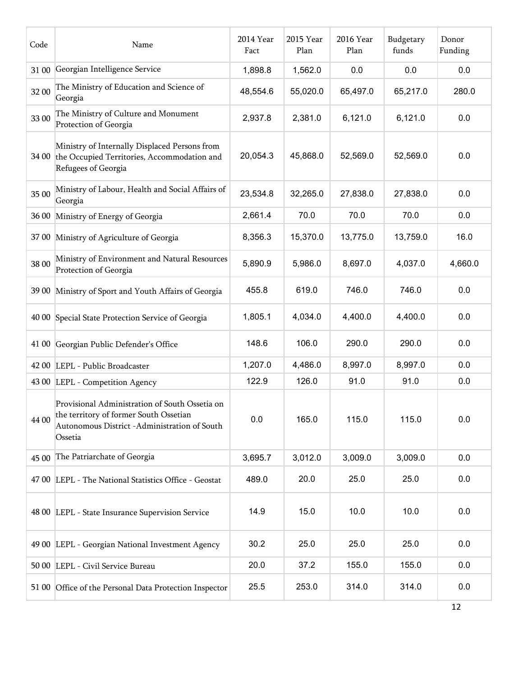| Code  | Name                                                                                                                                                | 2014 Year<br>Fact | 2015 Year<br>Plan | 2016 Year<br>Plan | Budgetary<br>funds | Donor<br>Funding |
|-------|-----------------------------------------------------------------------------------------------------------------------------------------------------|-------------------|-------------------|-------------------|--------------------|------------------|
| 31 00 | Georgian Intelligence Service                                                                                                                       | 1,898.8           | 1,562.0           | 0.0               | 0.0                | 0.0              |
| 32 00 | The Ministry of Education and Science of<br>Georgia                                                                                                 | 48,554.6          | 55,020.0          | 65,497.0          | 65,217.0           | 280.0            |
| 33 00 | The Ministry of Culture and Monument<br>Protection of Georgia                                                                                       | 2,937.8           | 2,381.0           | 6,121.0           | 6,121.0            | 0.0              |
| 34 00 | Ministry of Internally Displaced Persons from<br>the Occupied Territories, Accommodation and<br>Refugees of Georgia                                 | 20,054.3          | 45,868.0          | 52,569.0          | 52,569.0           | 0.0              |
| 35 00 | Ministry of Labour, Health and Social Affairs of<br>Georgia                                                                                         | 23,534.8          | 32,265.0          | 27,838.0          | 27,838.0           | 0.0              |
| 36 00 | Ministry of Energy of Georgia                                                                                                                       | 2,661.4           | 70.0              | 70.0              | 70.0               | 0.0              |
|       | 37 00 Ministry of Agriculture of Georgia                                                                                                            | 8,356.3           | 15,370.0          | 13,775.0          | 13,759.0           | 16.0             |
| 38 00 | Ministry of Environment and Natural Resources<br>Protection of Georgia                                                                              | 5,890.9           | 5,986.0           | 8,697.0           | 4,037.0            | 4,660.0          |
| 39 00 | Ministry of Sport and Youth Affairs of Georgia                                                                                                      | 455.8             | 619.0             | 746.0             | 746.0              | 0.0              |
|       | 40 00 Special State Protection Service of Georgia                                                                                                   | 1,805.1           | 4,034.0           | 4,400.0           | 4,400.0            | 0.0              |
|       | 41 00 Georgian Public Defender's Office                                                                                                             | 148.6             | 106.0             | 290.0             | 290.0              | 0.0              |
|       | 42 00 LEPL - Public Broadcaster                                                                                                                     | 1,207.0           | 4,486.0           | 8,997.0           | 8,997.0            | 0.0              |
|       | 43 00 LEPL - Competition Agency                                                                                                                     | 122.9             | 126.0             | 91.0              | 91.0               | 0.0              |
| 44 00 | Provisional Administration of South Ossetia on<br>the territory of former South Ossetian<br>Autonomous District -Administration of South<br>Ossetia | 0.0               | 165.0             | 115.0             | 115.0              | 0.0              |
| 45 00 | The Patriarchate of Georgia                                                                                                                         | 3,695.7           | 3,012.0           | 3,009.0           | 3,009.0            | 0.0              |
|       | 47 00 LEPL - The National Statistics Office - Geostat                                                                                               | 489.0             | 20.0              | 25.0              | 25.0               | 0.0              |
|       | 48 00 LEPL - State Insurance Supervision Service                                                                                                    | 14.9              | 15.0              | 10.0              | 10.0               | 0.0              |
|       | 49 00 LEPL - Georgian National Investment Agency                                                                                                    | 30.2              | 25.0              | 25.0              | 25.0               | 0.0              |
|       | 50 00 LEPL - Civil Service Bureau                                                                                                                   | 20.0              | 37.2              | 155.0             | 155.0              | 0.0              |
|       | 51 00 Office of the Personal Data Protection Inspector                                                                                              | 25.5              | 253.0             | 314.0             | 314.0              | 0.0              |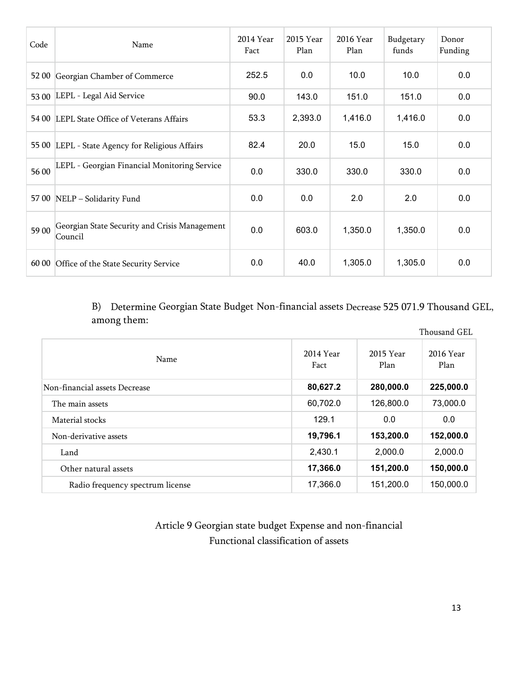| Code  | Name                                                     | 2014 Year<br>Fact | 2015 Year<br>Plan | 2016 Year<br>Plan | Budgetary<br>funds | Donor<br>Funding |
|-------|----------------------------------------------------------|-------------------|-------------------|-------------------|--------------------|------------------|
| 52 00 | Georgian Chamber of Commerce                             | 252.5             | 0.0               | 10.0              | 10.0               | 0.0              |
| 53 00 | LEPL - Legal Aid Service                                 | 90.0              | 143.0             | 151.0             | 151.0              | 0.0              |
|       | 54 00 LEPL State Office of Veterans Affairs              | 53.3              | 2,393.0           | 1,416.0           | 1,416.0            | 0.0              |
|       | 55 00 LEPL - State Agency for Religious Affairs          | 82.4              | 20.0              | 15.0              | 15.0               | 0.0              |
| 56 00 | LEPL - Georgian Financial Monitoring Service             | 0.0               | 330.0             | 330.0             | 330.0              | 0.0              |
|       | 57 00 NELP - Solidarity Fund                             | 0.0               | 0.0               | 2.0               | 2.0                | 0.0              |
| 5900  | Georgian State Security and Crisis Management<br>Council | 0.0               | 603.0             | 1,350.0           | 1,350.0            | 0.0              |
| 60 00 | Office of the State Security Service                     | 0.0               | 40.0              | 1,305.0           | 1,305.0            | 0.0              |

B) Determine Georgian State Budget Non-financial assets Decrease 525 071.9 Thousand GEL, among them:

|                                  |                   |                   | Thousand GEL      |
|----------------------------------|-------------------|-------------------|-------------------|
| Name                             | 2014 Year<br>Fact | 2015 Year<br>Plan | 2016 Year<br>Plan |
| Non-financial assets Decrease    | 80,627.2          | 280,000.0         | 225,000.0         |
| The main assets                  | 60,702.0          | 126,800.0         | 73,000.0          |
| Material stocks                  | 129.1             | 0.0               | 0.0               |
| Non-derivative assets            | 19,796.1          | 153,200.0         | 152,000.0         |
| Land                             | 2,430.1           | 2,000.0           | 2,000.0           |
| Other natural assets             | 17,366.0          | 151,200.0         | 150,000.0         |
| Radio frequency spectrum license | 17,366.0          | 151,200.0         | 150,000.0         |

Article 9 Georgian state budget Expense and non-financial Functional classification of assets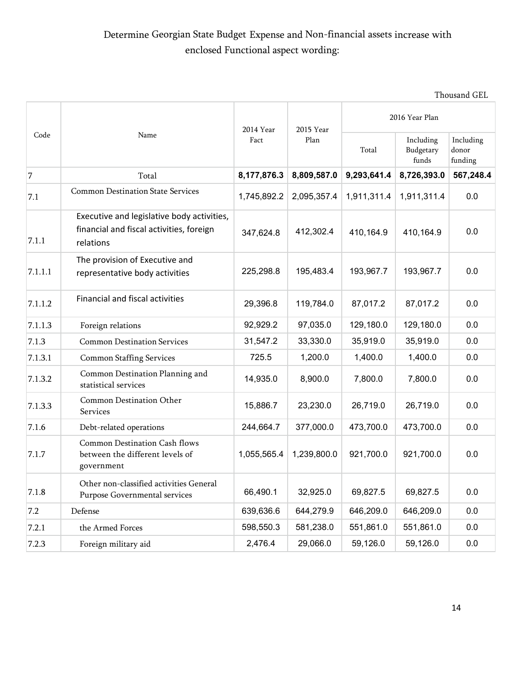## Determine Georgian State Budget Expense and Non-financial assets increase with enclosed Functional aspect wording:

|         | Name                                                                                                | 2014 Year   | 2015 Year   | 2016 Year Plan |                                 |                               |
|---------|-----------------------------------------------------------------------------------------------------|-------------|-------------|----------------|---------------------------------|-------------------------------|
| Code    |                                                                                                     | Fact        | Plan        | Total          | Including<br>Budgetary<br>funds | Including<br>donor<br>funding |
| 7       | Total                                                                                               | 8,177,876.3 | 8,809,587.0 | 9,293,641.4    | 8,726,393.0                     | 567,248.4                     |
| 7.1     | <b>Common Destination State Services</b>                                                            | 1,745,892.2 | 2,095,357.4 | 1,911,311.4    | 1,911,311.4                     | 0.0                           |
| 7.1.1   | Executive and legislative body activities,<br>financial and fiscal activities, foreign<br>relations | 347,624.8   | 412,302.4   | 410,164.9      | 410,164.9                       | 0.0                           |
| 7.1.1.1 | The provision of Executive and<br>representative body activities                                    | 225,298.8   | 195,483.4   | 193,967.7      | 193,967.7                       | 0.0                           |
| 7.1.1.2 | <b>Financial and fiscal activities</b>                                                              | 29,396.8    | 119,784.0   | 87,017.2       | 87,017.2                        | 0.0                           |
| 7.1.1.3 | Foreign relations                                                                                   | 92,929.2    | 97,035.0    | 129,180.0      | 129,180.0                       | 0.0                           |
| 7.1.3   | <b>Common Destination Services</b>                                                                  | 31,547.2    | 33,330.0    | 35,919.0       | 35,919.0                        | 0.0                           |
| 7.1.3.1 | <b>Common Staffing Services</b>                                                                     | 725.5       | 1,200.0     | 1,400.0        | 1,400.0                         | 0.0                           |
| 7.1.3.2 | Common Destination Planning and<br>statistical services                                             | 14,935.0    | 8,900.0     | 7,800.0        | 7,800.0                         | 0.0                           |
| 7.1.3.3 | Common Destination Other<br>Services                                                                | 15,886.7    | 23,230.0    | 26,719.0       | 26,719.0                        | 0.0                           |
| 7.1.6   | Debt-related operations                                                                             | 244,664.7   | 377,000.0   | 473,700.0      | 473,700.0                       | 0.0                           |
| 7.1.7   | Common Destination Cash flows<br>between the different levels of<br>government                      | 1,055,565.4 | 1,239,800.0 | 921,700.0      | 921,700.0                       | 0.0                           |
| 7.1.8   | Other non-classified activities General<br>Purpose Governmental services                            | 66,490.1    | 32,925.0    | 69,827.5       | 69,827.5                        | 0.0                           |
| 7.2     | Defense                                                                                             | 639,636.6   | 644,279.9   | 646,209.0      | 646,209.0                       | 0.0                           |
| 7.2.1   | the Armed Forces                                                                                    | 598,550.3   | 581,238.0   | 551,861.0      | 551,861.0                       | 0.0                           |
| 7.2.3   | Foreign military aid                                                                                | 2,476.4     | 29,066.0    | 59,126.0       | 59,126.0                        | 0.0                           |

Thousand GEL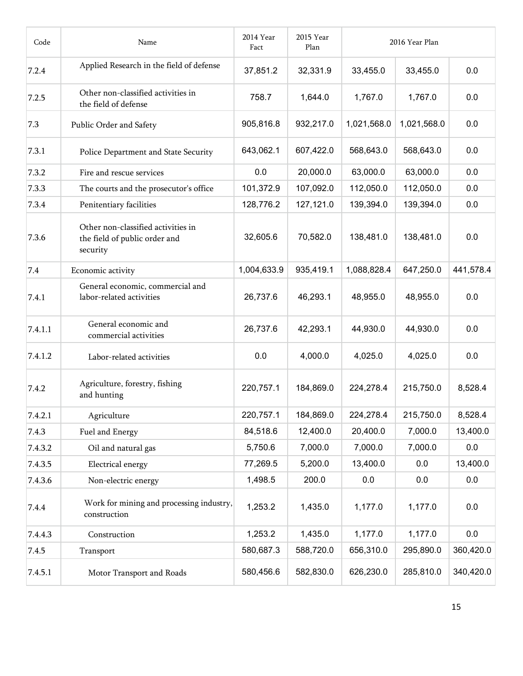| Code    | Name                                                                            | 2014 Year<br>Fact | 2015 Year<br>Plan |             | 2016 Year Plan |           |
|---------|---------------------------------------------------------------------------------|-------------------|-------------------|-------------|----------------|-----------|
| 7.2.4   | Applied Research in the field of defense                                        | 37,851.2          | 32,331.9          | 33,455.0    | 33,455.0       | 0.0       |
| 7.2.5   | Other non-classified activities in<br>the field of defense                      | 758.7             | 1,644.0           | 1,767.0     | 1,767.0        | 0.0       |
| 7.3     | Public Order and Safety                                                         | 905,816.8         | 932,217.0         | 1,021,568.0 | 1,021,568.0    | 0.0       |
| 7.3.1   | Police Department and State Security                                            | 643,062.1         | 607,422.0         | 568,643.0   | 568,643.0      | 0.0       |
| 7.3.2   | Fire and rescue services                                                        | 0.0               | 20,000.0          | 63,000.0    | 63,000.0       | 0.0       |
| 7.3.3   | The courts and the prosecutor's office                                          | 101,372.9         | 107,092.0         | 112,050.0   | 112,050.0      | 0.0       |
| 7.3.4   | Penitentiary facilities                                                         | 128,776.2         | 127,121.0         | 139,394.0   | 139,394.0      | 0.0       |
| 7.3.6   | Other non-classified activities in<br>the field of public order and<br>security | 32,605.6          | 70,582.0          | 138,481.0   | 138,481.0      | 0.0       |
| 7.4     | Economic activity                                                               | 1,004,633.9       | 935,419.1         | 1,088,828.4 | 647,250.0      | 441,578.4 |
| 7.4.1   | General economic, commercial and<br>labor-related activities                    | 26,737.6          | 46,293.1          | 48,955.0    | 48,955.0       | 0.0       |
| 7.4.1.1 | General economic and<br>commercial activities                                   | 26,737.6          | 42,293.1          | 44,930.0    | 44,930.0       | 0.0       |
| 7.4.1.2 | Labor-related activities                                                        | 0.0               | 4,000.0           | 4,025.0     | 4,025.0        | 0.0       |
| 7.4.2   | Agriculture, forestry, fishing<br>and hunting                                   | 220,757.1         | 184,869.0         | 224,278.4   | 215,750.0      | 8,528.4   |
| 7.4.2.1 | Agriculture                                                                     | 220,757.1         | 184,869.0         | 224,278.4   | 215,750.0      | 8,528.4   |
| 7.4.3   | Fuel and Energy                                                                 | 84,518.6          | 12,400.0          | 20,400.0    | 7,000.0        | 13,400.0  |
| 7.4.3.2 | Oil and natural gas                                                             | 5,750.6           | 7,000.0           | 7,000.0     | 7,000.0        | 0.0       |
| 7.4.3.5 | Electrical energy                                                               | 77,269.5          | 5,200.0           | 13,400.0    | 0.0            | 13,400.0  |
| 7.4.3.6 | Non-electric energy                                                             | 1,498.5           | 200.0             | 0.0         | 0.0            | 0.0       |
| 7.4.4   | Work for mining and processing industry,<br>construction                        | 1,253.2           | 1,435.0           | 1,177.0     | 1,177.0        | 0.0       |
| 7.4.4.3 | Construction                                                                    | 1,253.2           | 1,435.0           | 1,177.0     | 1,177.0        | 0.0       |
| 7.4.5   | Transport                                                                       | 580,687.3         | 588,720.0         | 656,310.0   | 295,890.0      | 360,420.0 |
| 7.4.5.1 | Motor Transport and Roads                                                       | 580,456.6         | 582,830.0         | 626,230.0   | 285,810.0      | 340,420.0 |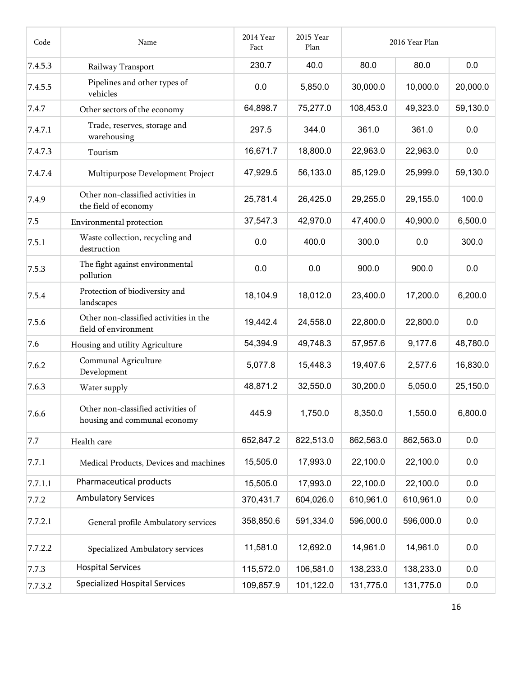| Code    | Name                                                               | 2014 Year<br>Fact | 2015 Year<br>Plan |           | 2016 Year Plan |          |
|---------|--------------------------------------------------------------------|-------------------|-------------------|-----------|----------------|----------|
| 7.4.5.3 | Railway Transport                                                  | 230.7             | 40.0              | 80.0      | 80.0           | 0.0      |
| 7.4.5.5 | Pipelines and other types of<br>vehicles                           | 0.0               | 5,850.0           | 30,000.0  | 10,000.0       | 20,000.0 |
| 7.4.7   | Other sectors of the economy                                       | 64,898.7          | 75,277.0          | 108,453.0 | 49,323.0       | 59,130.0 |
| 7.4.7.1 | Trade, reserves, storage and<br>warehousing                        | 297.5             | 344.0             | 361.0     | 361.0          | 0.0      |
| 7.4.7.3 | Tourism                                                            | 16,671.7          | 18,800.0          | 22,963.0  | 22,963.0       | 0.0      |
| 7.4.7.4 | Multipurpose Development Project                                   | 47,929.5          | 56,133.0          | 85,129.0  | 25,999.0       | 59,130.0 |
| 7.4.9   | Other non-classified activities in<br>the field of economy         | 25,781.4          | 26,425.0          | 29,255.0  | 29,155.0       | 100.0    |
| 7.5     | Environmental protection                                           | 37,547.3          | 42,970.0          | 47,400.0  | 40,900.0       | 6,500.0  |
| 7.5.1   | Waste collection, recycling and<br>destruction                     | 0.0               | 400.0             | 300.0     | 0.0            | 300.0    |
| 7.5.3   | The fight against environmental<br>pollution                       | 0.0               | 0.0               | 900.0     | 900.0          | 0.0      |
| 7.5.4   | Protection of biodiversity and<br>landscapes                       | 18,104.9          | 18,012.0          | 23,400.0  | 17,200.0       | 6,200.0  |
| 7.5.6   | Other non-classified activities in the<br>field of environment     | 19,442.4          | 24,558.0          | 22,800.0  | 22,800.0       | 0.0      |
| 7.6     | Housing and utility Agriculture                                    | 54,394.9          | 49,748.3          | 57,957.6  | 9,177.6        | 48,780.0 |
| 7.6.2   | Communal Agriculture<br>Development                                | 5,077.8           | 15,448.3          | 19,407.6  | 2,577.6        | 16,830.0 |
| 7.6.3   | Water supply                                                       | 48,871.2          | 32,550.0          | 30,200.0  | 5,050.0        | 25,150.0 |
| 7.6.6   | Other non-classified activities of<br>housing and communal economy | 445.9             | 1,750.0           | 8,350.0   | 1,550.0        | 6,800.0  |
| 7.7     | Health care                                                        | 652,847.2         | 822,513.0         | 862,563.0 | 862,563.0      | 0.0      |
| 7.7.1   | Medical Products, Devices and machines                             | 15,505.0          | 17,993.0          | 22,100.0  | 22,100.0       | 0.0      |
| 7.7.1.1 | Pharmaceutical products                                            | 15,505.0          | 17,993.0          | 22,100.0  | 22,100.0       | 0.0      |
| 7.7.2   | <b>Ambulatory Services</b>                                         | 370,431.7         | 604,026.0         | 610,961.0 | 610,961.0      | 0.0      |
| 7.7.2.1 | General profile Ambulatory services                                | 358,850.6         | 591,334.0         | 596,000.0 | 596,000.0      | 0.0      |
| 7.7.2.2 | Specialized Ambulatory services                                    | 11,581.0          | 12,692.0          | 14,961.0  | 14,961.0       | 0.0      |
| 7.7.3   | <b>Hospital Services</b>                                           | 115,572.0         | 106,581.0         | 138,233.0 | 138,233.0      | 0.0      |
| 7.7.3.2 | <b>Specialized Hospital Services</b>                               | 109,857.9         | 101,122.0         | 131,775.0 | 131,775.0      | 0.0      |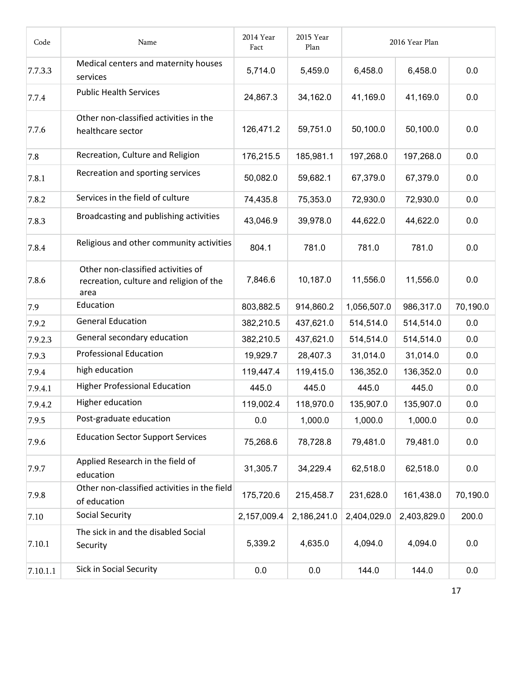| Code     | Name                                                                                  | 2014 Year<br>Fact | 2015 Year<br>Plan |             | 2016 Year Plan |          |
|----------|---------------------------------------------------------------------------------------|-------------------|-------------------|-------------|----------------|----------|
| 7.7.3.3  | Medical centers and maternity houses<br>services                                      | 5,714.0           | 5,459.0           | 6,458.0     | 6,458.0        | 0.0      |
| 7.7.4    | <b>Public Health Services</b>                                                         | 24,867.3          | 34,162.0          | 41,169.0    | 41,169.0       | 0.0      |
| 7.7.6    | Other non-classified activities in the<br>healthcare sector                           | 126,471.2         | 59,751.0          | 50,100.0    | 50,100.0       | 0.0      |
| 7.8      | Recreation, Culture and Religion                                                      | 176,215.5         | 185,981.1         | 197,268.0   | 197,268.0      | 0.0      |
| 7.8.1    | Recreation and sporting services                                                      | 50,082.0          | 59,682.1          | 67,379.0    | 67,379.0       | 0.0      |
| 7.8.2    | Services in the field of culture                                                      | 74,435.8          | 75,353.0          | 72,930.0    | 72,930.0       | 0.0      |
| 7.8.3    | Broadcasting and publishing activities                                                | 43,046.9          | 39,978.0          | 44,622.0    | 44,622.0       | 0.0      |
| 7.8.4    | Religious and other community activities                                              | 804.1             | 781.0             | 781.0       | 781.0          | 0.0      |
| 7.8.6    | Other non-classified activities of<br>recreation, culture and religion of the<br>area | 7,846.6           | 10,187.0          | 11,556.0    | 11,556.0       | 0.0      |
| 7.9      | Education                                                                             | 803,882.5         | 914,860.2         | 1,056,507.0 | 986,317.0      | 70,190.0 |
| 7.9.2    | <b>General Education</b>                                                              | 382,210.5         | 437,621.0         | 514,514.0   | 514,514.0      | 0.0      |
| 7.9.2.3  | General secondary education                                                           | 382,210.5         | 437,621.0         | 514,514.0   | 514,514.0      | 0.0      |
| 7.9.3    | <b>Professional Education</b>                                                         | 19,929.7          | 28,407.3          | 31,014.0    | 31,014.0       | 0.0      |
| 7.9.4    | high education                                                                        | 119,447.4         | 119,415.0         | 136,352.0   | 136,352.0      | 0.0      |
| 7.9.4.1  | <b>Higher Professional Education</b>                                                  | 445.0             | 445.0             | 445.0       | 445.0          | 0.0      |
| 7.9.4.2  | Higher education                                                                      | 119,002.4         | 118,970.0         | 135,907.0   | 135,907.0      | 0.0      |
| 7.9.5    | Post-graduate education                                                               | 0.0               | 1,000.0           | 1,000.0     | 1,000.0        | 0.0      |
| 7.9.6    | <b>Education Sector Support Services</b>                                              | 75,268.6          | 78,728.8          | 79,481.0    | 79,481.0       | 0.0      |
| 7.9.7    | Applied Research in the field of<br>education                                         | 31,305.7          | 34,229.4          | 62,518.0    | 62,518.0       | 0.0      |
| 7.9.8    | Other non-classified activities in the field<br>of education                          | 175,720.6         | 215,458.7         | 231,628.0   | 161,438.0      | 70,190.0 |
| 7.10     | <b>Social Security</b>                                                                | 2,157,009.4       | 2,186,241.0       | 2,404,029.0 | 2,403,829.0    | 200.0    |
| 7.10.1   | The sick in and the disabled Social<br>Security                                       | 5,339.2           | 4,635.0           | 4,094.0     | 4,094.0        | 0.0      |
| 7.10.1.1 | Sick in Social Security                                                               | 0.0               | $0.0\,$           | 144.0       | 144.0          | 0.0      |